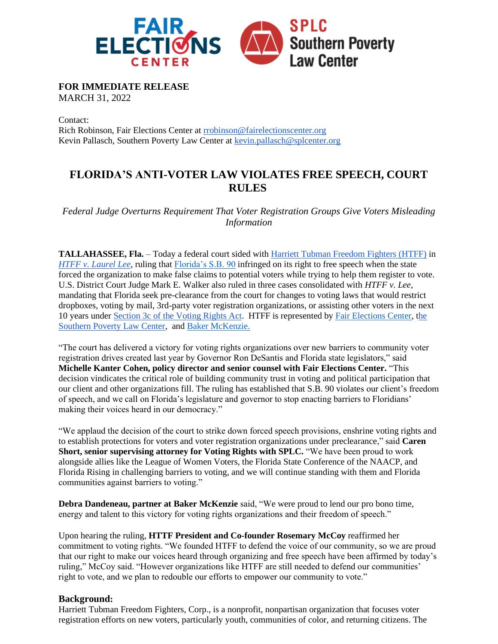

**FOR IMMEDIATE RELEASE** MARCH 31, 2022

Contact: Rich Robinson, Fair Elections Center at [rrobinson@fairelectionscenter.org](mailto:rrobinson@fairelectionscenter.org) Kevin Pallasch, Southern Poverty Law Center at [kevin.pallasch@splcenter.org](mailto:kevin.pallasch@splcenter.org)

# **FLORIDA'S ANTI-VOTER LAW VIOLATES FREE SPEECH, COURT RULES**

*Federal Judge Overturns Requirement That Voter Registration Groups Give Voters Misleading Information*

**TALLAHASSEE, Fla.** – Today a federal court sided with [Harriett Tubman Freedom Fighters \(HTFF\)](https://www.facebook.com/unshaken.hands/) in *[HTFF v. Laurel Lee](https://www.splcenter.org/seeking-justice/case-docket/harriet-tubman-freedom-fighters-corp-et-al-v-laurel-lee-et-al)*, ruling that [Florida's S.B. 90](https://www.splcactionfund.org/press-center/splc-action-fund-florida-sb-90-based-deadly-dangerous-lies-andwhite-supremacist) infringed on its right to free speech when the state forced the organization to make false claims to potential voters while trying to help them register to vote. U.S. District Court Judge Mark E. Walker also ruled in three cases consolidated with *HTFF v. Lee*, mandating that Florida seek pre-clearance from the court for changes to voting laws that would restrict dropboxes, voting by mail, 3rd-party voter registration organizations, or assisting other voters in the next 10 years under Section 3c [of the Voting Rights Act.](https://www.naacpldf.org/wp-content/uploads/LDF-Sections-2-and-3c-VRA-primer-1.5.21.pdf) HTFF is represented by [Fair Elections Center,](https://www.fairelectionscenter.org/) [the](https://www.splcenter.org/)  [Southern Poverty Law Center,](https://www.splcenter.org/) and [Baker McKenzie.](https://www.bakermckenzie.com/en)

"The court has delivered a victory for voting rights organizations over new barriers to community voter registration drives created last year by Governor Ron DeSantis and Florida state legislators," said **Michelle Kanter Cohen, policy director and senior counsel with Fair Elections Center.** "This decision vindicates the critical role of building community trust in voting and political participation that our client and other organizations fill. The ruling has established that S.B. 90 violates our client's freedom of speech, and we call on Florida's legislature and governor to stop enacting barriers to Floridians' making their voices heard in our democracy."

"We applaud the decision of the court to strike down forced speech provisions, enshrine voting rights and to establish protections for voters and voter registration organizations under preclearance," said **Caren Short, senior supervising attorney for Voting Rights with SPLC.** "We have been proud to work alongside allies like the League of Women Voters, the Florida State Conference of the NAACP, and Florida Rising in challenging barriers to voting, and we will continue standing with them and Florida communities against barriers to voting."

**Debra Dandeneau, partner at Baker McKenzie** said, "We were proud to lend our pro bono time, energy and talent to this victory for voting rights organizations and their freedom of speech."

Upon hearing the ruling, **HTTF President and Co-founder Rosemary McCoy** reaffirmed her commitment to voting rights. "We founded HTFF to defend the voice of our community, so we are proud that our right to make our voices heard through organizing and free speech have been affirmed by today's ruling," McCoy said. "However organizations like HTFF are still needed to defend our communities' right to vote, and we plan to redouble our efforts to empower our community to vote."

## **Background:**

Harriett Tubman Freedom Fighters, Corp., is a nonprofit, nonpartisan organization that focuses voter registration efforts on new voters, particularly youth, communities of color, and returning citizens. The